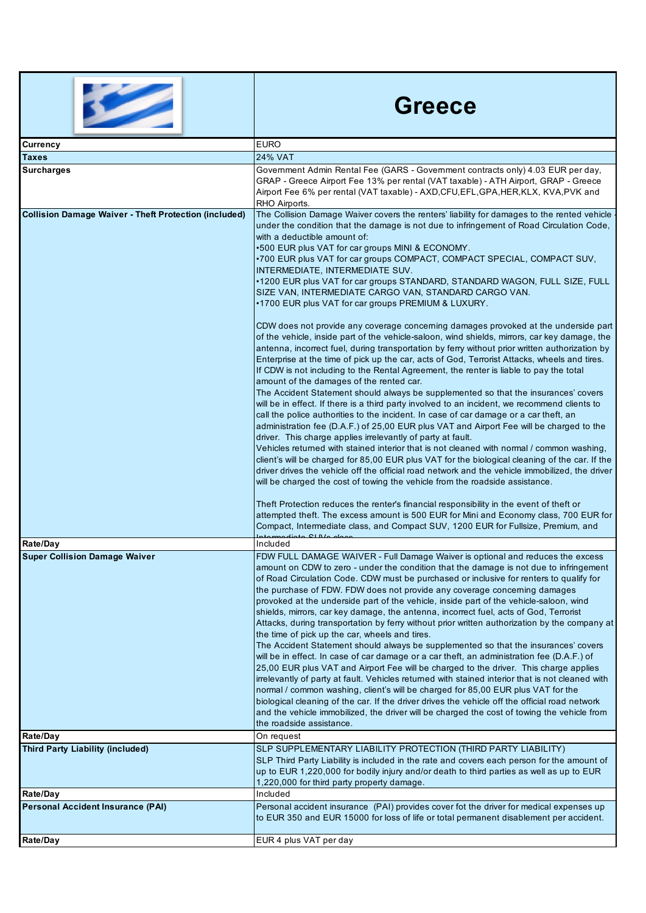|                                                              | <b>Greece</b>                                                                                                                                                                                                                                                                                                                                                                                                                                                                                                                                                                                                                                                                                                                                                                                                                                                                                                                                                                                                                                                                                                                                                                                                                                                                                                                                                                                                                                                                                                                                                                                                                                                                                                                                                                                                                                                                                                                                                                                                                                                                                                                                                                                                                               |
|--------------------------------------------------------------|---------------------------------------------------------------------------------------------------------------------------------------------------------------------------------------------------------------------------------------------------------------------------------------------------------------------------------------------------------------------------------------------------------------------------------------------------------------------------------------------------------------------------------------------------------------------------------------------------------------------------------------------------------------------------------------------------------------------------------------------------------------------------------------------------------------------------------------------------------------------------------------------------------------------------------------------------------------------------------------------------------------------------------------------------------------------------------------------------------------------------------------------------------------------------------------------------------------------------------------------------------------------------------------------------------------------------------------------------------------------------------------------------------------------------------------------------------------------------------------------------------------------------------------------------------------------------------------------------------------------------------------------------------------------------------------------------------------------------------------------------------------------------------------------------------------------------------------------------------------------------------------------------------------------------------------------------------------------------------------------------------------------------------------------------------------------------------------------------------------------------------------------------------------------------------------------------------------------------------------------|
| <b>Currency</b>                                              | <b>EURO</b>                                                                                                                                                                                                                                                                                                                                                                                                                                                                                                                                                                                                                                                                                                                                                                                                                                                                                                                                                                                                                                                                                                                                                                                                                                                                                                                                                                                                                                                                                                                                                                                                                                                                                                                                                                                                                                                                                                                                                                                                                                                                                                                                                                                                                                 |
| <b>Taxes</b><br><b>Surcharges</b>                            | <b>24% VAT</b><br>Government Admin Rental Fee (GARS - Government contracts only) 4.03 EUR per day,<br>GRAP - Greece Airport Fee 13% per rental (VAT taxable) - ATH Airport, GRAP - Greece<br>Airport Fee 6% per rental (VAT taxable) - AXD, CFU, EFL, GPA, HER, KLX, KVA, PVK and<br>RHO Airports.                                                                                                                                                                                                                                                                                                                                                                                                                                                                                                                                                                                                                                                                                                                                                                                                                                                                                                                                                                                                                                                                                                                                                                                                                                                                                                                                                                                                                                                                                                                                                                                                                                                                                                                                                                                                                                                                                                                                          |
| <b>Collision Damage Waiver - Theft Protection (included)</b> | The Collision Damage Waiver covers the renters' liability for damages to the rented vehicle<br>under the condition that the damage is not due to infringement of Road Circulation Code,<br>with a deductible amount of:<br>.500 EUR plus VAT for car groups MINI & ECONOMY.<br>•700 EUR plus VAT for car groups COMPACT, COMPACT SPECIAL, COMPACT SUV,<br>INTERMEDIATE, INTERMEDIATE SUV.<br>•1200 EUR plus VAT for car groups STANDARD, STANDARD WAGON, FULL SIZE, FULL<br>SIZE VAN, INTERMEDIATE CARGO VAN, STANDARD CARGO VAN.<br>•1700 EUR plus VAT for car groups PREMIUM & LUXURY.<br>CDW does not provide any coverage concerning damages provoked at the underside part<br>of the vehicle, inside part of the vehicle-saloon, wind shields, mirrors, car key damage, the<br>antenna, incorrect fuel, during transportation by ferry without prior written authorization by<br>Enterprise at the time of pick up the car, acts of God, Terrorist Attacks, wheels and tires.<br>If CDW is not including to the Rental Agreement, the renter is liable to pay the total<br>amount of the damages of the rented car.<br>The Accident Statement should always be supplemented so that the insurances' covers<br>will be in effect. If there is a third party involved to an incident, we recommend clients to<br>call the police authorities to the incident. In case of car damage or a car theft, an<br>administration fee (D.A.F.) of 25,00 EUR plus VAT and Airport Fee will be charged to the<br>driver. This charge applies irrelevantly of party at fault.<br>Vehicles returned with stained interior that is not cleaned with normal / common washing,<br>client's will be charged for 85,00 EUR plus VAT for the biological cleaning of the car. If the<br>driver drives the vehicle off the official road network and the vehicle immobilized, the driver<br>will be charged the cost of towing the vehicle from the roadside assistance.<br>Theft Protection reduces the renter's financial responsibility in the event of theft or<br>attempted theft. The excess amount is 500 EUR for Mini and Economy class, 700 EUR for<br>Compact, Intermediate class, and Compact SUV, 1200 EUR for Fullsize, Premium, and<br>Included |
| Rate/Day<br><b>Super Collision Damage Waiver</b>             | FDW FULL DAMAGE WAIVER - Full Damage Waiver is optional and reduces the excess<br>amount on CDW to zero - under the condition that the damage is not due to infringement<br>of Road Circulation Code. CDW must be purchased or inclusive for renters to qualify for<br>the purchase of FDW. FDW does not provide any coverage concerning damages<br>provoked at the underside part of the vehicle, inside part of the vehicle-saloon, wind<br>shields, mirrors, car key damage, the antenna, incorrect fuel, acts of God, Terrorist<br>Attacks, during transportation by ferry without prior written authorization by the company at<br>the time of pick up the car, wheels and tires.<br>The Accident Statement should always be supplemented so that the insurances' covers<br>will be in effect. In case of car damage or a car theft, an administration fee (D.A.F.) of<br>25,00 EUR plus VAT and Airport Fee will be charged to the driver. This charge applies<br>irrelevantly of party at fault. Vehicles returned with stained interior that is not cleaned with<br>normal / common washing, client's will be charged for 85,00 EUR plus VAT for the<br>biological cleaning of the car. If the driver drives the vehicle off the official road network<br>and the vehicle immobilized, the driver will be charged the cost of towing the vehicle from<br>the roadside assistance.                                                                                                                                                                                                                                                                                                                                                                                                                                                                                                                                                                                                                                                                                                                                                                                                                                                   |
| Rate/Day                                                     | On request                                                                                                                                                                                                                                                                                                                                                                                                                                                                                                                                                                                                                                                                                                                                                                                                                                                                                                                                                                                                                                                                                                                                                                                                                                                                                                                                                                                                                                                                                                                                                                                                                                                                                                                                                                                                                                                                                                                                                                                                                                                                                                                                                                                                                                  |
| <b>Third Party Liability (included)</b><br>Rate/Day          | SLP SUPPLEMENTARY LIABILITY PROTECTION (THIRD PARTY LIABILITY)<br>SLP Third Party Liability is included in the rate and covers each person for the amount of<br>up to EUR 1,220,000 for bodily injury and/or death to third parties as well as up to EUR<br>1,220,000 for third party property damage.<br>Included                                                                                                                                                                                                                                                                                                                                                                                                                                                                                                                                                                                                                                                                                                                                                                                                                                                                                                                                                                                                                                                                                                                                                                                                                                                                                                                                                                                                                                                                                                                                                                                                                                                                                                                                                                                                                                                                                                                          |
| <b>Personal Accident Insurance (PAI)</b>                     | Personal accident insurance (PAI) provides cover fot the driver for medical expenses up<br>to EUR 350 and EUR 15000 for loss of life or total permanent disablement per accident.                                                                                                                                                                                                                                                                                                                                                                                                                                                                                                                                                                                                                                                                                                                                                                                                                                                                                                                                                                                                                                                                                                                                                                                                                                                                                                                                                                                                                                                                                                                                                                                                                                                                                                                                                                                                                                                                                                                                                                                                                                                           |
| Rate/Day                                                     | EUR 4 plus VAT per day                                                                                                                                                                                                                                                                                                                                                                                                                                                                                                                                                                                                                                                                                                                                                                                                                                                                                                                                                                                                                                                                                                                                                                                                                                                                                                                                                                                                                                                                                                                                                                                                                                                                                                                                                                                                                                                                                                                                                                                                                                                                                                                                                                                                                      |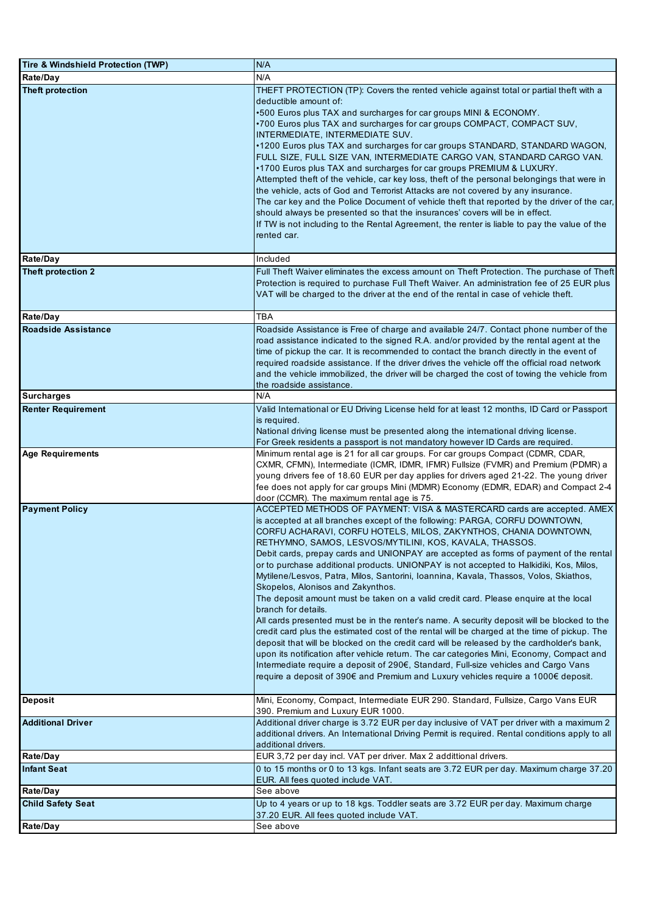| Tire & Windshield Protection (TWP) | N/A                                                                                                                                                                                                                                                                                                                                                                                                                                                                                                                                                                                                                                                                                                                                                                                                                                                                                                                                                                                                                                                                                                                                                                                                    |
|------------------------------------|--------------------------------------------------------------------------------------------------------------------------------------------------------------------------------------------------------------------------------------------------------------------------------------------------------------------------------------------------------------------------------------------------------------------------------------------------------------------------------------------------------------------------------------------------------------------------------------------------------------------------------------------------------------------------------------------------------------------------------------------------------------------------------------------------------------------------------------------------------------------------------------------------------------------------------------------------------------------------------------------------------------------------------------------------------------------------------------------------------------------------------------------------------------------------------------------------------|
| Rate/Day                           | N/A                                                                                                                                                                                                                                                                                                                                                                                                                                                                                                                                                                                                                                                                                                                                                                                                                                                                                                                                                                                                                                                                                                                                                                                                    |
| <b>Theft protection</b>            | THEFT PROTECTION (TP): Covers the rented vehicle against total or partial theft with a<br>deductible amount of:<br>.500 Euros plus TAX and surcharges for car groups MINI & ECONOMY.                                                                                                                                                                                                                                                                                                                                                                                                                                                                                                                                                                                                                                                                                                                                                                                                                                                                                                                                                                                                                   |
|                                    | •700 Euros plus TAX and surcharges for car groups COMPACT, COMPACT SUV,<br>INTERMEDIATE, INTERMEDIATE SUV.                                                                                                                                                                                                                                                                                                                                                                                                                                                                                                                                                                                                                                                                                                                                                                                                                                                                                                                                                                                                                                                                                             |
|                                    | •1200 Euros plus TAX and surcharges for car groups STANDARD, STANDARD WAGON,<br>FULL SIZE, FULL SIZE VAN, INTERMEDIATE CARGO VAN, STANDARD CARGO VAN.                                                                                                                                                                                                                                                                                                                                                                                                                                                                                                                                                                                                                                                                                                                                                                                                                                                                                                                                                                                                                                                  |
|                                    | .1700 Euros plus TAX and surcharges for car groups PREMIUM & LUXURY.<br>Attempted theft of the vehicle, car key loss, theft of the personal belongings that were in<br>the vehicle, acts of God and Terrorist Attacks are not covered by any insurance.                                                                                                                                                                                                                                                                                                                                                                                                                                                                                                                                                                                                                                                                                                                                                                                                                                                                                                                                                |
|                                    | The car key and the Police Document of vehicle theft that reported by the driver of the car,<br>should always be presented so that the insurances' covers will be in effect.<br>If TW is not including to the Rental Agreement, the renter is liable to pay the value of the<br>rented car.                                                                                                                                                                                                                                                                                                                                                                                                                                                                                                                                                                                                                                                                                                                                                                                                                                                                                                            |
| Rate/Day                           | Included                                                                                                                                                                                                                                                                                                                                                                                                                                                                                                                                                                                                                                                                                                                                                                                                                                                                                                                                                                                                                                                                                                                                                                                               |
| Theft protection 2                 | Full Theft Waiver eliminates the excess amount on Theft Protection. The purchase of Theft<br>Protection is required to purchase Full Theft Waiver. An administration fee of 25 EUR plus<br>VAT will be charged to the driver at the end of the rental in case of vehicle theft.                                                                                                                                                                                                                                                                                                                                                                                                                                                                                                                                                                                                                                                                                                                                                                                                                                                                                                                        |
| Rate/Day                           | TBA                                                                                                                                                                                                                                                                                                                                                                                                                                                                                                                                                                                                                                                                                                                                                                                                                                                                                                                                                                                                                                                                                                                                                                                                    |
| <b>Roadside Assistance</b>         | Roadside Assistance is Free of charge and available 24/7. Contact phone number of the<br>road assistance indicated to the signed R.A. and/or provided by the rental agent at the<br>time of pickup the car. It is recommended to contact the branch directly in the event of<br>required roadside assistance. If the driver drives the vehicle off the official road network<br>and the vehicle immobilized, the driver will be charged the cost of towing the vehicle from<br>the roadside assistance.                                                                                                                                                                                                                                                                                                                                                                                                                                                                                                                                                                                                                                                                                                |
| <b>Surcharges</b>                  | N/A                                                                                                                                                                                                                                                                                                                                                                                                                                                                                                                                                                                                                                                                                                                                                                                                                                                                                                                                                                                                                                                                                                                                                                                                    |
| <b>Renter Requirement</b>          | Valid International or EU Driving License held for at least 12 months, ID Card or Passport<br>is required.<br>National driving license must be presented along the international driving license.<br>For Greek residents a passport is not mandatory however ID Cards are required.                                                                                                                                                                                                                                                                                                                                                                                                                                                                                                                                                                                                                                                                                                                                                                                                                                                                                                                    |
| Age Requirements                   | Minimum rental age is 21 for all car groups. For car groups Compact (CDMR, CDAR,<br>CXMR, CFMN), Intermediate (ICMR, IDMR, IFMR) Fullsize (FVMR) and Premium (PDMR) a<br>young drivers fee of 18.60 EUR per day applies for drivers aged 21-22. The young driver<br>fee does not apply for car groups Mini (MDMR) Economy (EDMR, EDAR) and Compact 2-4<br>door (CCMR). The maximum rental age is 75.                                                                                                                                                                                                                                                                                                                                                                                                                                                                                                                                                                                                                                                                                                                                                                                                   |
| <b>Payment Policy</b>              | ACCEPTED METHODS OF PAYMENT: VISA & MASTERCARD cards are accepted. AMEX<br>is accepted at all branches except of the following: PARGA, CORFU DOWNTOWN,<br>CORFU ACHARAVI, CORFU HOTELS, MILOS, ZAKYNTHOS, CHANIA DOWNTOWN,<br>RETHYMNO, SAMOS, LESVOS/MYTILINI, KOS, KAVALA, THASSOS.<br>Debit cards, prepay cards and UNIONPAY are accepted as forms of payment of the rental<br>or to purchase additional products. UNIONPAY is not accepted to Halkidiki, Kos, Milos,<br>Mytilene/Lesvos, Patra, Milos, Santorini, Ioannina, Kavala, Thassos, Volos, Skiathos,<br>Skopelos, Alonisos and Zakynthos.<br>The deposit amount must be taken on a valid credit card. Please enquire at the local<br>branch for details.<br>All cards presented must be in the renter's name. A security deposit will be blocked to the<br>credit card plus the estimated cost of the rental will be charged at the time of pickup. The<br>deposit that will be blocked on the credit card will be released by the cardholder's bank,<br>upon its notification after vehicle return. The car categories Mini, Economy, Compact and<br>Intermediate require a deposit of 290€, Standard, Full-size vehicles and Cargo Vans |
| Deposit                            | require a deposit of 390€ and Premium and Luxury vehicles require a 1000€ deposit.<br>Mini, Economy, Compact, Intermediate EUR 290. Standard, Fullsize, Cargo Vans EUR                                                                                                                                                                                                                                                                                                                                                                                                                                                                                                                                                                                                                                                                                                                                                                                                                                                                                                                                                                                                                                 |
|                                    | 390. Premium and Luxury EUR 1000.                                                                                                                                                                                                                                                                                                                                                                                                                                                                                                                                                                                                                                                                                                                                                                                                                                                                                                                                                                                                                                                                                                                                                                      |
| <b>Additional Driver</b>           | Additional driver charge is 3.72 EUR per day inclusive of VAT per driver with a maximum 2<br>additional drivers. An International Driving Permit is required. Rental conditions apply to all<br>additional drivers.                                                                                                                                                                                                                                                                                                                                                                                                                                                                                                                                                                                                                                                                                                                                                                                                                                                                                                                                                                                    |
| Rate/Day                           | EUR 3,72 per day incl. VAT per driver. Max 2 addittional drivers.                                                                                                                                                                                                                                                                                                                                                                                                                                                                                                                                                                                                                                                                                                                                                                                                                                                                                                                                                                                                                                                                                                                                      |
| <b>Infant Seat</b>                 | 0 to 15 months or 0 to 13 kgs. Infant seats are 3.72 EUR per day. Maximum charge 37.20<br>EUR. All fees quoted include VAT.                                                                                                                                                                                                                                                                                                                                                                                                                                                                                                                                                                                                                                                                                                                                                                                                                                                                                                                                                                                                                                                                            |
| Rate/Day                           | See above                                                                                                                                                                                                                                                                                                                                                                                                                                                                                                                                                                                                                                                                                                                                                                                                                                                                                                                                                                                                                                                                                                                                                                                              |
| <b>Child Safety Seat</b>           | Up to 4 years or up to 18 kgs. Toddler seats are 3.72 EUR per day. Maximum charge<br>37.20 EUR. All fees quoted include VAT.                                                                                                                                                                                                                                                                                                                                                                                                                                                                                                                                                                                                                                                                                                                                                                                                                                                                                                                                                                                                                                                                           |
| Rate/Day                           | See above                                                                                                                                                                                                                                                                                                                                                                                                                                                                                                                                                                                                                                                                                                                                                                                                                                                                                                                                                                                                                                                                                                                                                                                              |